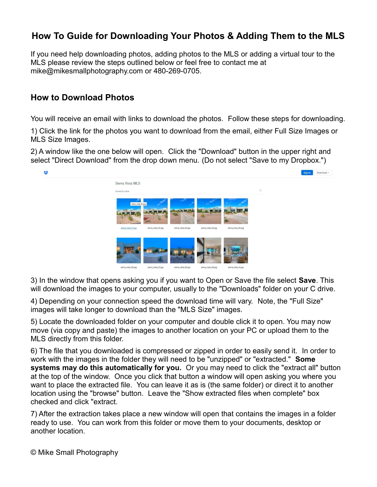## **How To Guide for Downloading Your Photos & Adding Them to the MLS**

If you need help downloading photos, adding photos to the MLS or adding a virtual tour to the MLS please review the steps outlined below or feel free to contact me at mike@mikesmallphotography.com or 480-269-0705.

## **How to Download Photos**

You will receive an email with links to download the photos. Follow these steps for downloading.

1) Click the link for the photos you want to download from the email, either Full Size Images or MLS Size Images.

2) A window like the one below will open. Click the "Download" button in the upper right and select "Direct Download" from the drop down menu. (Do not select "Save to my Dropbox.")



3) In the window that opens asking you if you want to Open or Save the file select **Save**. This will download the images to your computer, usually to the "Downloads" folder on your C drive.

4) Depending on your connection speed the download time will vary. Note, the "Full Size" images will take longer to download than the "MLS Size" images.

5) Locate the downloaded folder on your computer and double click it to open. You may now move (via copy and paste) the images to another location on your PC or upload them to the MLS directly from this folder.

6) The file that you downloaded is compressed or zipped in order to easily send it. In order to work with the images in the folder they will need to be "unzipped" or "extracted." **Some systems may do this automatically for you.** Or you may need to click the "extract all" button at the top of the window. Once you click that button a window will open asking you where you want to place the extracted file. You can leave it as is (the same folder) or direct it to another location using the "browse" button. Leave the "Show extracted files when complete" box checked and click "extract.

7) After the extraction takes place a new window will open that contains the images in a folder ready to use. You can work from this folder or move them to your documents, desktop or another location.